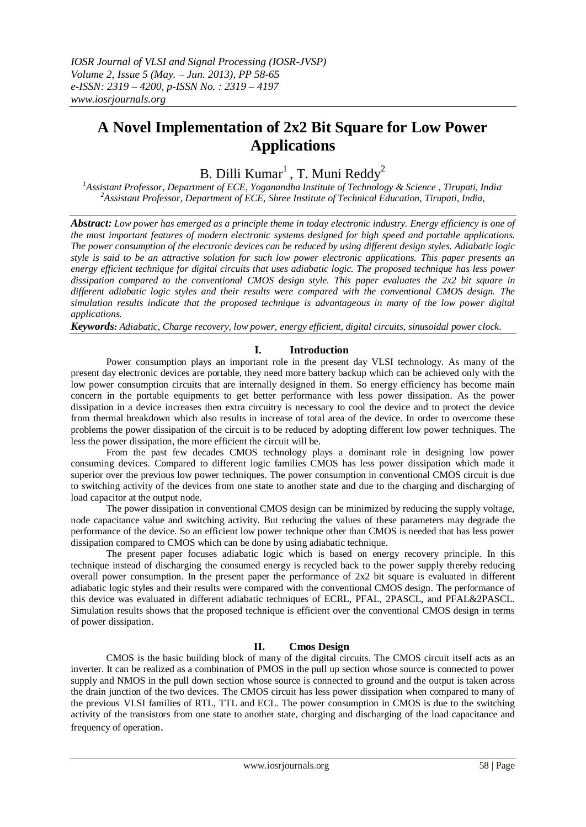# **A Novel Implementation of 2x2 Bit Square for Low Power Applications**

B. Dilli  $Kumar<sup>1</sup>$ , T. Muni Reddy<sup>2</sup>

*<sup>1</sup>Assistant Professor, Department of ECE, Yoganandha Institute of Technology & Science , Tirupati, India, <sup>2</sup>Assistant Professor, Department of ECE, Shree Institute of Technical Education, Tirupati, India,*

*Abstract: Low power has emerged as a principle theme in today electronic industry. Energy efficiency is one of the most important features of modern electronic systems designed for high speed and portable applications. The power consumption of the electronic devices can be reduced by using different design styles. Adiabatic logic style is said to be an attractive solution for such low power electronic applications. This paper presents an energy efficient technique for digital circuits that uses adiabatic logic. The proposed technique has less power dissipation compared to the conventional CMOS design style. This paper evaluates the 2x2 bit square in different adiabatic logic styles and their results were compared with the conventional CMOS design. The simulation results indicate that the proposed technique is advantageous in many of the low power digital applications.*

*Keywords: Adiabatic, Charge recovery, low power, energy efficient, digital circuits, sinusoidal power clock.*

# **I. Introduction**

Power consumption plays an important role in the present day VLSI technology. As many of the present day electronic devices are portable, they need more battery backup which can be achieved only with the low power consumption circuits that are internally designed in them. So energy efficiency has become main concern in the portable equipments to get better performance with less power dissipation. As the power dissipation in a device increases then extra circuitry is necessary to cool the device and to protect the device from thermal breakdown which also results in increase of total area of the device. In order to overcome these problems the power dissipation of the circuit is to be reduced by adopting different low power techniques. The less the power dissipation, the more efficient the circuit will be.

From the past few decades CMOS technology plays a dominant role in designing low power consuming devices. Compared to different logic families CMOS has less power dissipation which made it superior over the previous low power techniques. The power consumption in conventional CMOS circuit is due to switching activity of the devices from one state to another state and due to the charging and discharging of load capacitor at the output node.

The power dissipation in conventional CMOS design can be minimized by reducing the supply voltage, node capacitance value and switching activity. But reducing the values of these parameters may degrade the performance of the device. So an efficient low power technique other than CMOS is needed that has less power dissipation compared to CMOS which can be done by using adiabatic technique.

The present paper focuses adiabatic logic which is based on energy recovery principle. In this technique instead of discharging the consumed energy is recycled back to the power supply thereby reducing overall power consumption. In the present paper the performance of 2x2 bit square is evaluated in different adiabatic logic styles and their results were compared with the conventional CMOS design. The performance of this device was evaluated in different adiabatic techniques of ECRL, PFAL, 2PASCL, and PFAL&2PASCL. Simulation results shows that the proposed technique is efficient over the conventional CMOS design in terms of power dissipation.

# **II. Cmos Design**

CMOS is the basic building block of many of the digital circuits. The CMOS circuit itself acts as an inverter. It can be realized as a combination of PMOS in the pull up section whose source is connected to power supply and NMOS in the pull down section whose source is connected to ground and the output is taken across the drain junction of the two devices. The CMOS circuit has less power dissipation when compared to many of the previous VLSI families of RTL, TTL and ECL. The power consumption in CMOS is due to the switching activity of the transistors from one state to another state, charging and discharging of the load capacitance and frequency of operation.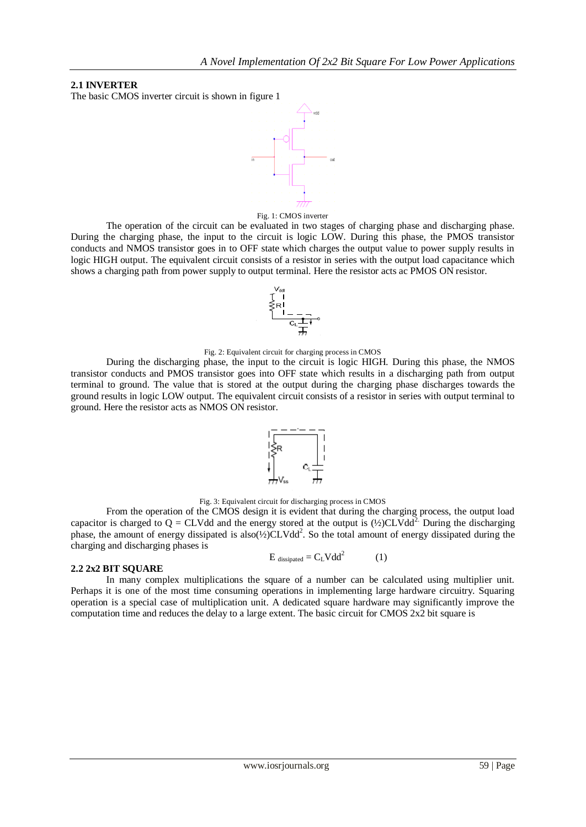## **2.1 INVERTER**

The basic CMOS inverter circuit is shown in figure 1



#### Fig. 1: CMOS inverter

The operation of the circuit can be evaluated in two stages of charging phase and discharging phase. During the charging phase, the input to the circuit is logic LOW. During this phase, the PMOS transistor conducts and NMOS transistor goes in to OFF state which charges the output value to power supply results in logic HIGH output. The equivalent circuit consists of a resistor in series with the output load capacitance which shows a charging path from power supply to output terminal. Here the resistor acts ac PMOS ON resistor.



#### Fig. 2: Equivalent circuit for charging process in CMOS

During the discharging phase, the input to the circuit is logic HIGH. During this phase, the NMOS transistor conducts and PMOS transistor goes into OFF state which results in a discharging path from output terminal to ground. The value that is stored at the output during the charging phase discharges towards the ground results in logic LOW output. The equivalent circuit consists of a resistor in series with output terminal to ground. Here the resistor acts as NMOS ON resistor.



Fig. 3: Equivalent circuit for discharging process in CMOS

From the operation of the CMOS design it is evident that during the charging process, the output load capacitor is charged to  $Q = CLV$ dd and the energy stored at the output is  $(\frac{1}{2})CLV$ dd<sup>2</sup>. During the discharging phase, the amount of energy dissipated is also(½)CLVdd<sup>2</sup>. So the total amount of energy dissipated during the charging and discharging phases is

$$
E_{\text{dissipated}} = C_{L} V d d^{2} \tag{1}
$$

### **2.2 2x2 BIT SQUARE**

In many complex multiplications the square of a number can be calculated using multiplier unit. Perhaps it is one of the most time consuming operations in implementing large hardware circuitry. Squaring operation is a special case of multiplication unit. A dedicated square hardware may significantly improve the computation time and reduces the delay to a large extent. The basic circuit for CMOS 2x2 bit square is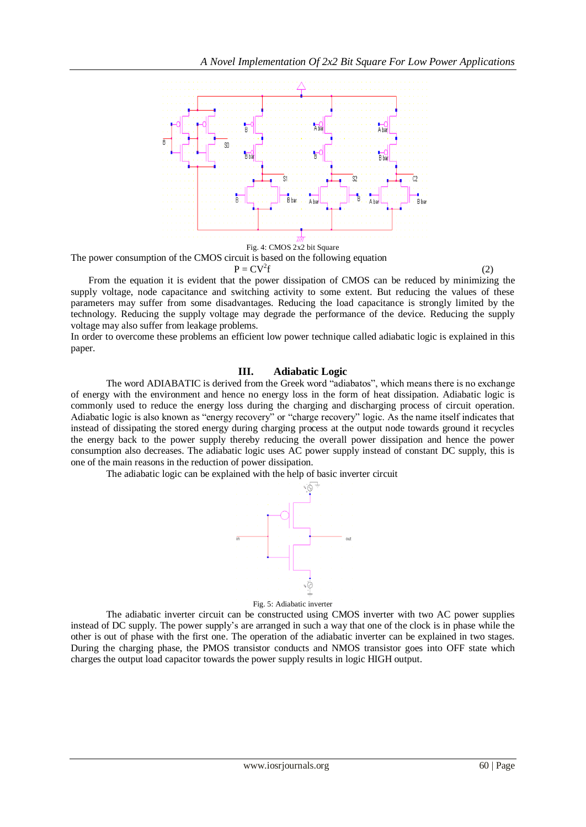

The power consumption of the CMOS circuit is based on the following equation

 $P = CV^2f$ 

f  $(2)$ 

From the equation it is evident that the power dissipation of CMOS can be reduced by minimizing the supply voltage, node capacitance and switching activity to some extent. But reducing the values of these parameters may suffer from some disadvantages. Reducing the load capacitance is strongly limited by the technology. Reducing the supply voltage may degrade the performance of the device. Reducing the supply voltage may also suffer from leakage problems.

In order to overcome these problems an efficient low power technique called adiabatic logic is explained in this paper.

## **III. Adiabatic Logic**

The word ADIABATIC is derived from the Greek word "adiabatos", which means there is no exchange of energy with the environment and hence no energy loss in the form of heat dissipation. Adiabatic logic is commonly used to reduce the energy loss during the charging and discharging process of circuit operation. Adiabatic logic is also known as "energy recovery" or "charge recovery" logic. As the name itself indicates that instead of dissipating the stored energy during charging process at the output node towards ground it recycles the energy back to the power supply thereby reducing the overall power dissipation and hence the power consumption also decreases. The adiabatic logic uses AC power supply instead of constant DC supply, this is one of the main reasons in the reduction of power dissipation.

The adiabatic logic can be explained with the help of basic inverter circuit



Fig. 5: Adiabatic inverter

The adiabatic inverter circuit can be constructed using CMOS inverter with two AC power supplies instead of DC supply. The power supply's are arranged in such a way that one of the clock is in phase while the other is out of phase with the first one. The operation of the adiabatic inverter can be explained in two stages. During the charging phase, the PMOS transistor conducts and NMOS transistor goes into OFF state which charges the output load capacitor towards the power supply results in logic HIGH output.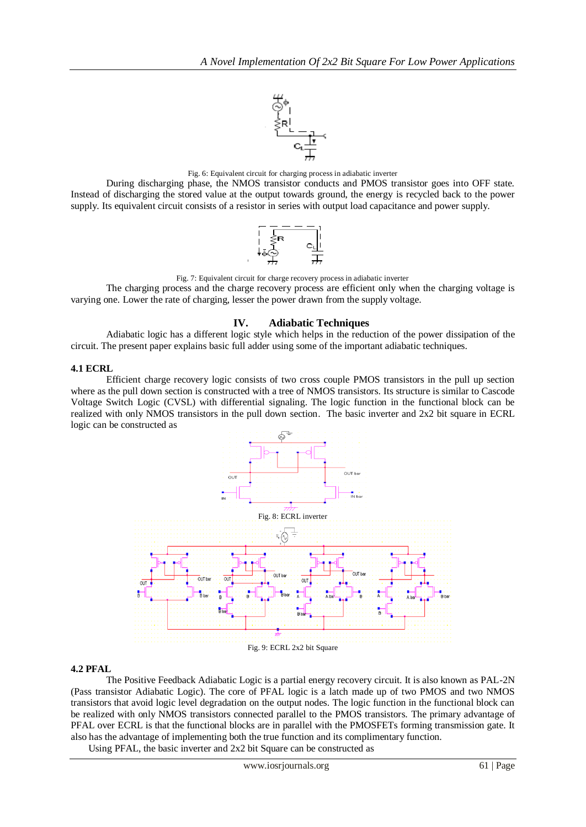

Fig. 6: Equivalent circuit for charging process in adiabatic inverter

During discharging phase, the NMOS transistor conducts and PMOS transistor goes into OFF state. Instead of discharging the stored value at the output towards ground, the energy is recycled back to the power supply. Its equivalent circuit consists of a resistor in series with output load capacitance and power supply.



Fig. 7: Equivalent circuit for charge recovery process in adiabatic inverter

The charging process and the charge recovery process are efficient only when the charging voltage is varying one. Lower the rate of charging, lesser the power drawn from the supply voltage.

## **IV. Adiabatic Techniques**

Adiabatic logic has a different logic style which helps in the reduction of the power dissipation of the circuit. The present paper explains basic full adder using some of the important adiabatic techniques.

### **4.1 ECRL**

Efficient charge recovery logic consists of two cross couple PMOS transistors in the pull up section where as the pull down section is constructed with a tree of NMOS transistors. Its structure is similar to Cascode Voltage Switch Logic (CVSL) with differential signaling. The logic function in the functional block can be realized with only NMOS transistors in the pull down section. The basic inverter and 2x2 bit square in ECRL logic can be constructed as



Fig. 9: ECRL 2x2 bit Square

### **4.2 PFAL**

The Positive Feedback Adiabatic Logic is a partial energy recovery circuit. It is also known as PAL-2N (Pass transistor Adiabatic Logic). The core of PFAL logic is a latch made up of two PMOS and two NMOS transistors that avoid logic level degradation on the output nodes. The logic function in the functional block can be realized with only NMOS transistors connected parallel to the PMOS transistors. The primary advantage of PFAL over ECRL is that the functional blocks are in parallel with the PMOSFETs forming transmission gate. It also has the advantage of implementing both the true function and its complimentary function.

Using PFAL, the basic inverter and 2x2 bit Square can be constructed as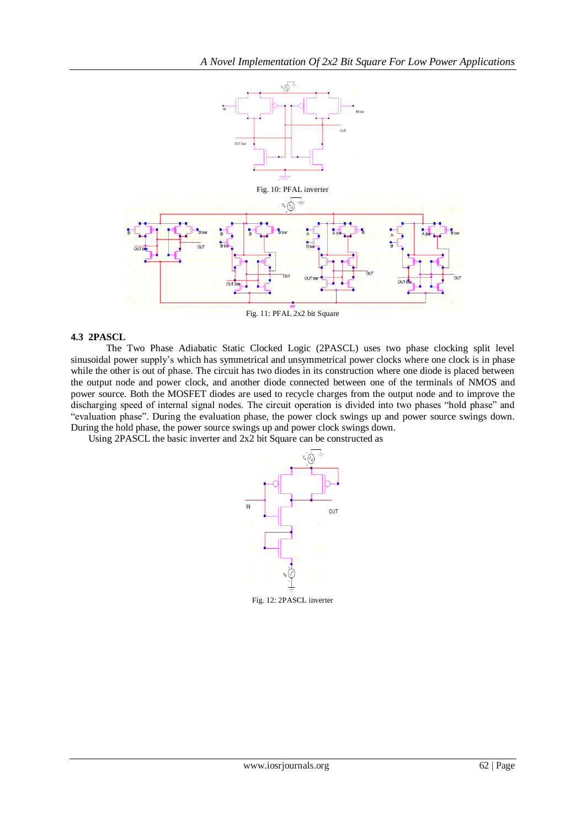

Fig. 11: PFAL 2x2 bit Square

## **4.3 2PASCL**

The Two Phase Adiabatic Static Clocked Logic (2PASCL) uses two phase clocking split level sinusoidal power supply's which has symmetrical and unsymmetrical power clocks where one clock is in phase while the other is out of phase. The circuit has two diodes in its construction where one diode is placed between the output node and power clock, and another diode connected between one of the terminals of NMOS and power source. Both the MOSFET diodes are used to recycle charges from the output node and to improve the discharging speed of internal signal nodes. The circuit operation is divided into two phases "hold phase" and "evaluation phase". During the evaluation phase, the power clock swings up and power source swings down. During the hold phase, the power source swings up and power clock swings down.

Using 2PASCL the basic inverter and 2x2 bit Square can be constructed as

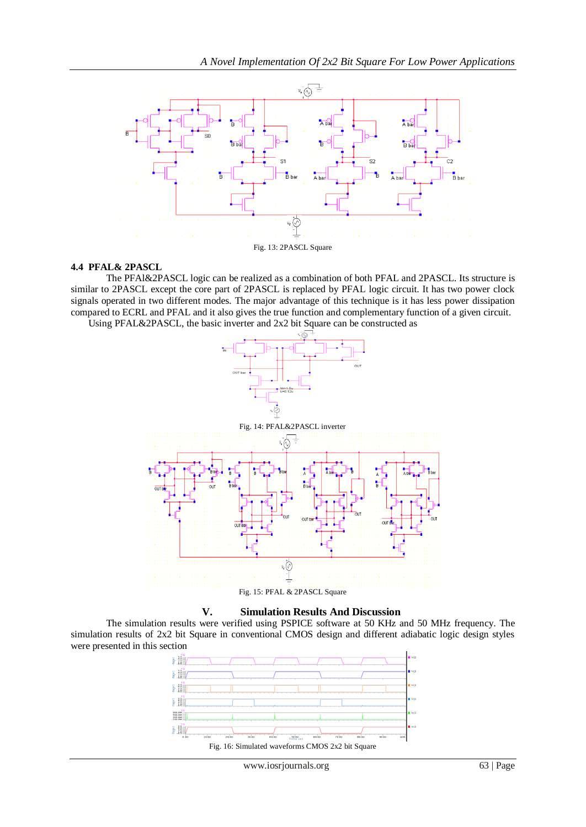

### **4.4 PFAL& 2PASCL**

The PFAl&2PASCL logic can be realized as a combination of both PFAL and 2PASCL. Its structure is similar to 2PASCL except the core part of 2PASCL is replaced by PFAL logic circuit. It has two power clock signals operated in two different modes. The major advantage of this technique is it has less power dissipation compared to ECRL and PFAL and it also gives the true function and complementary function of a given circuit.

Using PFAL&2PASCL, the basic inverter and 2x2 bit Square can be constructed as





### **V. Simulation Results And Discussion**

The simulation results were verified using PSPICE software at 50 KHz and 50 MHz frequency. The simulation results of 2x2 bit Square in conventional CMOS design and different adiabatic logic design styles were presented in this section

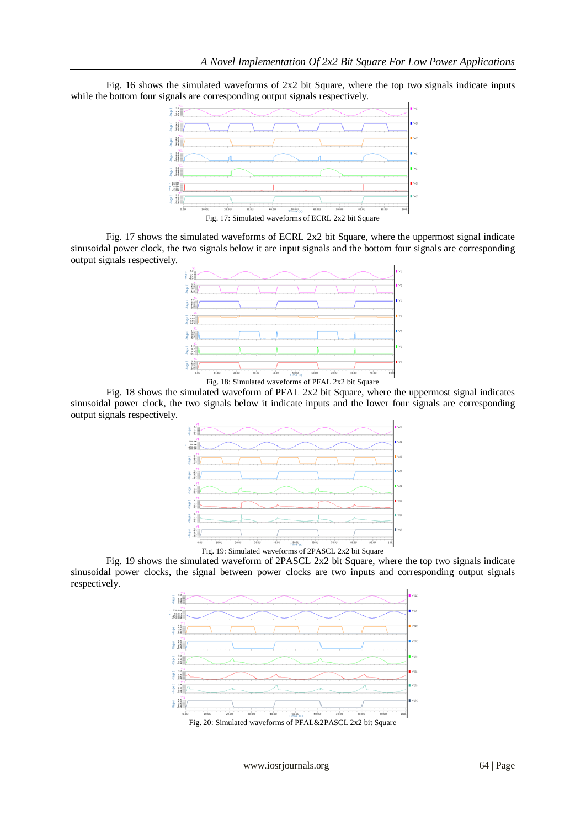Fig. 16 shows the simulated waveforms of 2x2 bit Square, where the top two signals indicate inputs while the bottom four signals are corresponding output signals respectively.



Fig. 17: Simulated waveforms of ECRL 2x2 bit Square

Fig. 17 shows the simulated waveforms of ECRL 2x2 bit Square, where the uppermost signal indicate sinusoidal power clock, the two signals below it are input signals and the bottom four signals are corresponding output signals respectively.



Fig. 18: Simulated waveforms of PFAL 2x2 bit Square

Fig. 18 shows the simulated waveform of PFAL 2x2 bit Square, where the uppermost signal indicates sinusoidal power clock, the two signals below it indicate inputs and the lower four signals are corresponding output signals respectively.



Fig. 19: Simulated waveforms of 2PASCL 2x2 bit Square

Fig. 19 shows the simulated waveform of 2PASCL 2x2 bit Square, where the top two signals indicate sinusoidal power clocks, the signal between power clocks are two inputs and corresponding output signals respectively.